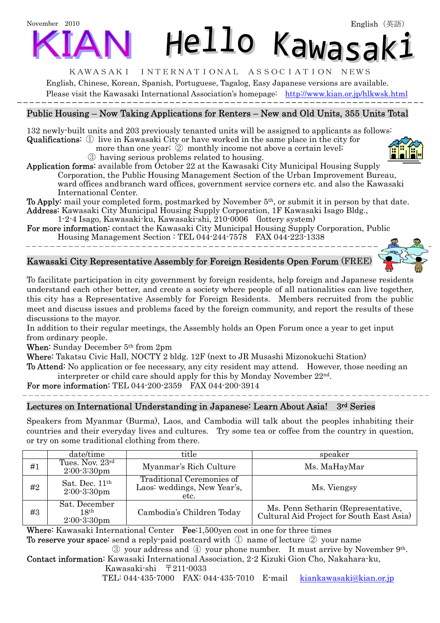# November 2010 Hello Kawasak:

#### KAWASAKI INTERNATIONAL ASSOCIATION NEWS

English, Chinese, Korean, Spanish, Portuguese, Tagalog, Easy Japanese versions are available. Please visit the Kawasaki International Association's homepage: <http://www.kian.or.jp/hlkwsk.html>

# Public Housing – Now Taking Applications for Renters – New and Old Units, 355 Units Total

132 newly-built units and 203 previously tenanted units will be assigned to applicants as follows: Qualifications: ① live in Kawasaki City or have worked in the same place in the city for

more than one year; 2 monthly income not above a certain level;

③ having serious problems related to housing.

Application forms: available from October 22 at the Kawasaki City Municipal Housing Supply Corporation, the Public Housing Management Section of the Urban Improvement Bureau, ward offices and branch ward offices, government service corners etc. and also the Kawasaki International Center.

To Apply: mail your completed form, postmarked by November 5th, or submit it in person by that date. Address: Kawasaki City Municipal Housing Supply Corporation, 1F Kawasaki Isago Bldg.,

1-2-4 Isago, Kawasaki-ku, Kawasaki-shi, 210-0006 (lottery system)

For more information: contact the Kawasaki City Municipal Housing Supply Corporation, Public Housing Management Section : TEL 044-244-7578 FAX 044-223-1338

# Kawasaki City Representative Assembly for Foreign Residents Open Forum (FREE)

To facilitate participation in city government by foreign residents, help foreign and Japanese residents understand each other better, and create a society where people of all nationalities can live together, this city has a Representative Assembly for Foreign Residents. Members recruited from the public meet and discuss issues and problems faced by the foreign community, and report the results of these discussions to the mayor.

In addition to their regular meetings, the Assembly holds an Open Forum once a year to get input from ordinary people.

When: Sunday December 5th from 2pm

Where: Takatsu Civic Hall, NOCTY 2 bldg. 12F (next to JR Musashi Mizonokuchi Station)

To Attend: No application or fee necessary, any city resident may attend. However, those needing an interpreter or child care should apply for this by Monday November 22nd.

For more information: TEL 044-200-2359 FAX 044-200-3914

# Lectures on International Understanding in Japanese: Learn About Asia! 3rd Series

Speakers from Myanmar (Burma), Laos, and Cambodia will talk about the peoples inhabiting their countries and their everyday lives and cultures. Try some tea or coffee from the country in question, or try on some traditional clothing from there.

|     | date/time                                        | title                                                            | speaker                                                                         |
|-----|--------------------------------------------------|------------------------------------------------------------------|---------------------------------------------------------------------------------|
| #1  | Tues. Nov. 23rd<br>$2:00-3:30$ pm                | Myanmar's Rich Culture                                           | Ms. MaHayMar                                                                    |
| #2  | Sat. Dec. 11 <sup>th</sup><br>$2:00-3:30$ pm     | Traditional Ceremonies of<br>Laos: weddings, New Year's,<br>etc. | Ms. Viengsy                                                                     |
| #3  | Sat. December<br>$18^{\rm th}$<br>$2:00-3:30$ pm | Cambodia's Children Today                                        | Ms. Penn Setharin (Representative,<br>Cultural Aid Project for South East Asia) |
| --- | $\mathbf{1}$ , $\mathbf{1}$<br>$ -$              | $\sim$ $\sim$<br>$\cdot$ .<br>$\overline{\phantom{a}}$<br>.      |                                                                                 |

Where: Kawasaki International Center Fee: 1,500yen cost in one for three times

To reserve your space: send a reply-paid postcard with ① name of lecture ② your name

③ your address and ④ your phone number. It must arrive by November 9th.

Contact information: Kawasaki International Association, 2-2 Kizuki Gion Cho, Nakahara-ku, Kawasaki-shi 〒211-0033

TEL: 044-435-7000 FAX: 044-435-7010 E-mail kiankawasaki@kian.or.jp